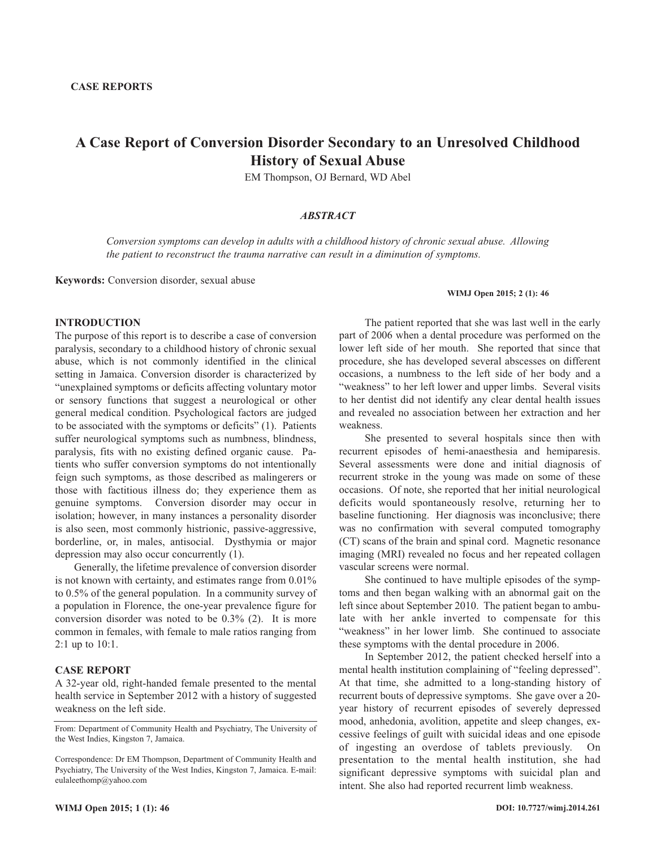# **A Case Report of Conversion Disorder Secondary to an Unresolved Childhood History of Sexual Abuse**

EM Thompson, OJ Bernard, WD Abel

## *ABSTRACT*

*Conversion symptoms can develop in adults with a childhood history of chronic sexual abuse. Allowing the patient to reconstruct the trauma narrative can result in a diminution of symptoms.*

**Keywords:** Conversion disorder, sexual abuse

#### **WIMJ Open 2015; 2 (1): 46**

### **INTRODUCTION**

The purpose of this report is to describe a case of conversion paralysis, secondary to a childhood history of chronic sexual abuse, which is not commonly identified in the clinical setting in Jamaica. Conversion disorder is characterized by "unexplained symptoms or deficits affecting voluntary motor or sensory functions that suggest a neurological or other general medical condition. Psychological factors are judged to be associated with the symptoms or deficits" (1). Patients suffer neurological symptoms such as numbness, blindness, paralysis, fits with no existing defined organic cause. Patients who suffer conversion symptoms do not intentionally feign such symptoms, as those described as malingerers or those with factitious illness do; they experience them as genuine symptoms. Conversion disorder may occur in isolation; however, in many instances a personality disorder is also seen, most commonly histrionic, passive-aggressive, borderline, or, in males, antisocial. Dysthymia or major depression may also occur concurrently (1).

Generally, the lifetime prevalence of conversion disorder is not known with certainty, and estimates range from 0.01% to 0.5% of the general population. In a community survey of a population in Florence, the one-year prevalence figure for conversion disorder was noted to be 0.3% (2). It is more common in females, with female to male ratios ranging from 2:1 up to 10:1.

#### **CASE REPORT**

A 32-year old, right-handed female presented to the mental health service in September 2012 with a history of suggested weakness on the left side.

The patient reported that she was last well in the early part of 2006 when a dental procedure was performed on the lower left side of her mouth. She reported that since that procedure, she has developed several abscesses on different occasions, a numbness to the left side of her body and a "weakness" to her left lower and upper limbs. Several visits to her dentist did not identify any clear dental health issues and revealed no association between her extraction and her weakness.

She presented to several hospitals since then with recurrent episodes of hemi-anaesthesia and hemiparesis. Several assessments were done and initial diagnosis of recurrent stroke in the young was made on some of these occasions. Of note, she reported that her initial neurological deficits would spontaneously resolve, returning her to baseline functioning. Her diagnosis was inconclusive; there was no confirmation with several computed tomography (CT) scans of the brain and spinal cord. Magnetic resonance imaging (MRI) revealed no focus and her repeated collagen vascular screens were normal.

She continued to have multiple episodes of the symptoms and then began walking with an abnormal gait on the left since about September 2010. The patient began to ambulate with her ankle inverted to compensate for this "weakness" in her lower limb. She continued to associate these symptoms with the dental procedure in 2006.

In September 2012, the patient checked herself into a mental health institution complaining of "feeling depressed". At that time, she admitted to a long-standing history of recurrent bouts of depressive symptoms. She gave over a 20 year history of recurrent episodes of severely depressed mood, anhedonia, avolition, appetite and sleep changes, excessive feelings of guilt with suicidal ideas and one episode of ingesting an overdose of tablets previously. On presentation to the mental health institution, she had significant depressive symptoms with suicidal plan and intent. She also had reported recurrent limb weakness.

From: Department of Community Health and Psychiatry, The University of the West Indies, Kingston 7, Jamaica.

Correspondence: Dr EM Thompson, Department of Community Health and Psychiatry, The University of the West Indies, Kingston 7, Jamaica. E-mail: eulaleethomp@yahoo.com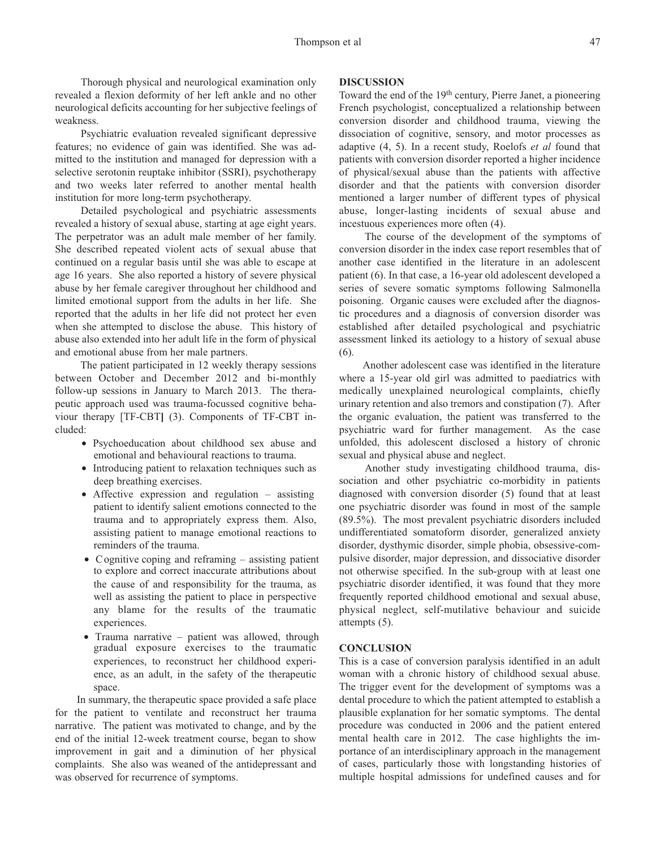Thorough physical and neurological examination only revealed a flexion deformity of her left ankle and no other neurological deficits accounting for her subjective feelings of weakness.

Psychiatric evaluation revealed significant depressive features; no evidence of gain was identified. She was admitted to the institution and managed for depression with a selective serotonin reuptake inhibitor (SSRI), psychotherapy and two weeks later referred to another mental health institution for more long-term psychotherapy.

Detailed psychological and psychiatric assessments revealed a history of sexual abuse, starting at age eight years. The perpetrator was an adult male member of her family. She described repeated violent acts of sexual abuse that continued on a regular basis until she was able to escape at age 16 years. She also reported a history of severe physical abuse by her female caregiver throughout her childhood and limited emotional support from the adults in her life. She reported that the adults in her life did not protect her even when she attempted to disclose the abuse. This history of abuse also extended into her adult life in the form of physical and emotional abuse from her male partners.

The patient participated in 12 weekly therapy sessions between October and December 2012 and bi-monthly follow-up sessions in January to March 2013. The therapeutic approach used was trauma-focussed cognitive behaviour therapy [TF-CBT**]** (3). Components of TF-CBT included:

- Psychoeducation about childhood sex abuse and emotional and behavioural reactions to trauma.
- Introducing patient to relaxation techniques such as deep breathing exercises.
- Affective expression and regulation assisting patient to identify salient emotions connected to the trauma and to appropriately express them. Also, assisting patient to manage emotional reactions to reminders of the trauma.
- Cognitive coping and reframing assisting patient to explore and correct inaccurate attributions about the cause of and responsibility for the trauma, as well as assisting the patient to place in perspective any blame for the results of the traumatic experiences.
- Trauma narrative patient was allowed, through gradual exposure exercises to the traumatic experiences, to reconstruct her childhood experience, as an adult, in the safety of the therapeutic space.

In summary, the therapeutic space provided a safe place for the patient to ventilate and reconstruct her trauma narrative. The patient was motivated to change, and by the end of the initial 12-week treatment course, began to show improvement in gait and a diminution of her physical complaints. She also was weaned of the antidepressant and was observed for recurrence of symptoms.

## **DISCUSSION**

Toward the end of the 19th century, Pierre Janet, a pioneering French psychologist, conceptualized a relationship between conversion disorder and childhood trauma, viewing the dissociation of cognitive, sensory, and motor processes as adaptive (4, 5). In a recent study, Roelofs *et al* found that patients with conversion disorder reported a higher incidence of physical/sexual abuse than the patients with affective disorder and that the patients with conversion disorder mentioned a larger number of different types of physical abuse, longer-lasting incidents of sexual abuse and incestuous experiences more often (4).

The course of the development of the symptoms of conversion disorder in the index case report resembles that of another case identified in the literature in an adolescent patient (6). In that case, a 16-year old adolescent developed a series of severe somatic symptoms following Salmonella poisoning. Organic causes were excluded after the diagnostic procedures and a diagnosis of conversion disorder was established after detailed psychological and psychiatric assessment linked its aetiology to a history of sexual abuse (6).

Another adolescent case was identified in the literature where a 15-year old girl was admitted to paediatrics with medically unexplained neurological complaints, chiefly urinary retention and also tremors and constipation (7). After the organic evaluation, the patient was transferred to the psychiatric ward for further management. As the case unfolded, this adolescent disclosed a history of chronic sexual and physical abuse and neglect.

Another study investigating childhood trauma, dissociation and other psychiatric co-morbidity in patients diagnosed with conversion disorder (5) found that at least one psychiatric disorder was found in most of the sample (89.5%). The most prevalent psychiatric disorders included undifferentiated somatoform disorder, generalized anxiety disorder, dysthymic disorder, simple phobia, obsessive-compulsive disorder, major depression, and dissociative disorder not otherwise specified. In the sub-group with at least one psychiatric disorder identified, it was found that they more frequently reported childhood emotional and sexual abuse, physical neglect, self-mutilative behaviour and suicide attempts (5).

### **CONCLUSION**

This is a case of conversion paralysis identified in an adult woman with a chronic history of childhood sexual abuse. The trigger event for the development of symptoms was a dental procedure to which the patient attempted to establish a plausible explanation for her somatic symptoms. The dental procedure was conducted in 2006 and the patient entered mental health care in 2012. The case highlights the importance of an interdisciplinary approach in the management of cases, particularly those with longstanding histories of multiple hospital admissions for undefined causes and for